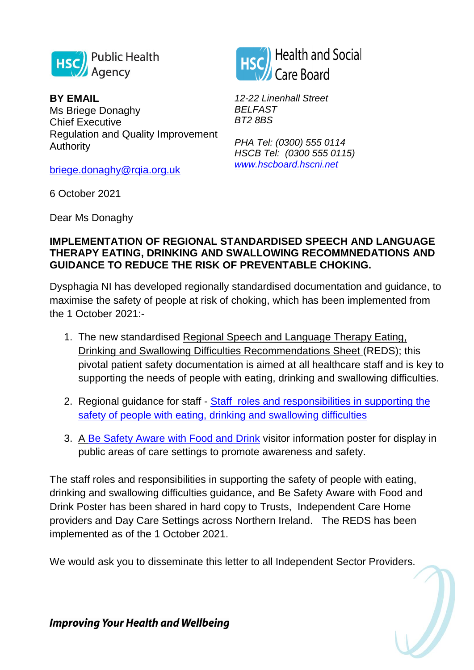

**BY EMAIL**  Ms Briege Donaghy Chief Executive Regulation and Quality Improvement Authority

[briege.donaghy@rqia.org.uk](mailto:briege.donaghy@rqia.org.uk)

*BT2 8BS PHA Tel: (0300) 555 0114*

*12-22 Linenhall Street*

**Health and Social** 

Care Board

*BELFAST*

*HSCB Tel: (0300 555 0115) [www.hscboard.hscni.net](http://www.hscboard.hscni.net/)*

6 October 2021

Dear Ms Donaghy

## **IMPLEMENTATION OF REGIONAL STANDARDISED SPEECH AND LANGUAGE THERAPY EATING, DRINKING AND SWALLOWING RECOMMNEDATIONS AND GUIDANCE TO REDUCE THE RISK OF PREVENTABLE CHOKING.**

Dysphagia NI has developed regionally standardised documentation and guidance, to maximise the safety of people at risk of choking, which has been implemented from the 1 October 2021:-

- 1. The new standardised Regional Speech and Language Therapy Eating, Drinking and Swallowing Difficulties Recommendations Sheet (REDS); this pivotal patient safety documentation is aimed at all healthcare staff and is key to supporting the needs of people with eating, drinking and swallowing difficulties.
- 2. Regional guidance for staff Staff roles and responsibilities in supporting the [safety of people with eating, drinking and swallowing difficulties](https://www.publichealth.hscni.net/sites/default/files/2021-09/SAI%20A5%20Leaflet%20%28High%20Res%20for%20Web%29.pdf)
- 3. A [Be Safety Aware with Food and Drink](https://www.publichealth.hscni.net/sites/default/files/2021-09/SAI%20Poster%20%28web%29.pdf) visitor information poster for display in public areas of care settings to promote awareness and safety.

The staff roles and responsibilities in supporting the safety of people with eating, drinking and swallowing difficulties guidance, and Be Safety Aware with Food and Drink Poster has been shared in hard copy to Trusts, Independent Care Home providers and Day Care Settings across Northern Ireland. The REDS has been implemented as of the 1 October 2021.

We would ask you to disseminate this letter to all Independent Sector Providers.

**Improving Your Health and Wellbeing**